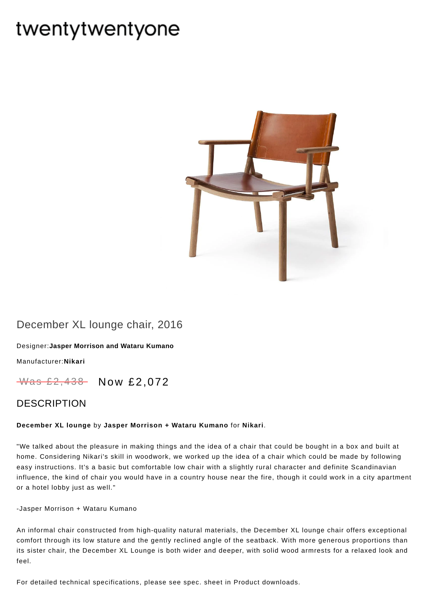# twentytwentyone



## December XL lounge chair, 2016

[Designer:](https://www.twentytwentyone.com/collections/designers-jasper-morrison-and-wataru-kumano)**Jasper Morrison and Wataru Kumano**

[Manufacturer:](https://www.twentytwentyone.com/collections/manufacturers-nikari)**Nikari**

Was £2,438 Now £2,072

### DESCRIPTION

#### **December XL lounge** by **Jasper [Morrison](http://twentytwentyone.com/designer/jasper-morrison-and-wataru-kumano) + Wataru Kumano** for **[Nikari](http://twentytwentyone.com/manufacturer/nikari)**.

"We talked about the pleasure in making things and the idea of a chair that could be bought in a box and built at home. Considering Nikari's skill in woodwork, we worked up the idea of a chair which could be made by following easy instructions. It's a basic but comfortable low chair with a slightly rural character and definite Scandinavian influence, the kind of chair you would have in a country house near the fire, though it could work in a city apartment or a hotel lobby just as well."

-Jasper Morrison + Wataru Kumano

An informal chair constructed from high-quality natural materials, the December XL lounge chair offers exceptional comfort through its low stature and the gently reclined angle of the seatback. With more generous proportions than its sister chair, the December XL Lounge is both wider and deeper, with solid wood armrests for a relaxed look and feel.

For detailed technical specifications, please see spec. sheet in Product downloads.